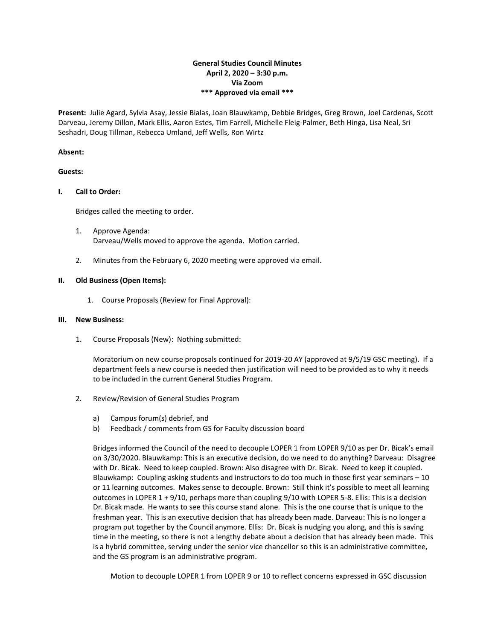# **General Studies Council Minutes April 2, 2020 – 3:30 p.m. Via Zoom \*\*\* Approved via email \*\*\***

**Present:** Julie Agard, Sylvia Asay, Jessie Bialas, Joan Blauwkamp, Debbie Bridges, Greg Brown, Joel Cardenas, Scott Darveau, Jeremy Dillon, Mark Ellis, Aaron Estes, Tim Farrell, Michelle Fleig-Palmer, Beth Hinga, Lisa Neal, Sri Seshadri, Doug Tillman, Rebecca Umland, Jeff Wells, Ron Wirtz

## **Absent:**

#### **Guests:**

## **I. Call to Order:**

Bridges called the meeting to order.

- 1. Approve Agenda: Darveau/Wells moved to approve the agenda. Motion carried.
- 2. Minutes from the February 6, 2020 meeting were approved via email.

## **II. Old Business (Open Items):**

1. Course Proposals (Review for Final Approval):

#### **III. New Business:**

1. Course Proposals (New): Nothing submitted:

Moratorium on new course proposals continued for 2019-20 AY (approved at 9/5/19 GSC meeting). If a department feels a new course is needed then justification will need to be provided as to why it needs to be included in the current General Studies Program.

- 2. Review/Revision of General Studies Program
	- a) Campus forum(s) debrief, and
	- b) Feedback / comments from GS for Faculty discussion board

Bridges informed the Council of the need to decouple LOPER 1 from LOPER 9/10 as per Dr. Bicak's email on 3/30/2020. Blauwkamp: This is an executive decision, do we need to do anything? Darveau: Disagree with Dr. Bicak. Need to keep coupled. Brown: Also disagree with Dr. Bicak. Need to keep it coupled. Blauwkamp: Coupling asking students and instructors to do too much in those first year seminars – 10 or 11 learning outcomes. Makes sense to decouple. Brown: Still think it's possible to meet all learning outcomes in LOPER 1 + 9/10, perhaps more than coupling 9/10 with LOPER 5-8. Ellis: This is a decision Dr. Bicak made. He wants to see this course stand alone. This is the one course that is unique to the freshman year. This is an executive decision that has already been made. Darveau: This is no longer a program put together by the Council anymore. Ellis: Dr. Bicak is nudging you along, and this is saving time in the meeting, so there is not a lengthy debate about a decision that has already been made. This is a hybrid committee, serving under the senior vice chancellor so this is an administrative committee, and the GS program is an administrative program.

Motion to decouple LOPER 1 from LOPER 9 or 10 to reflect concerns expressed in GSC discussion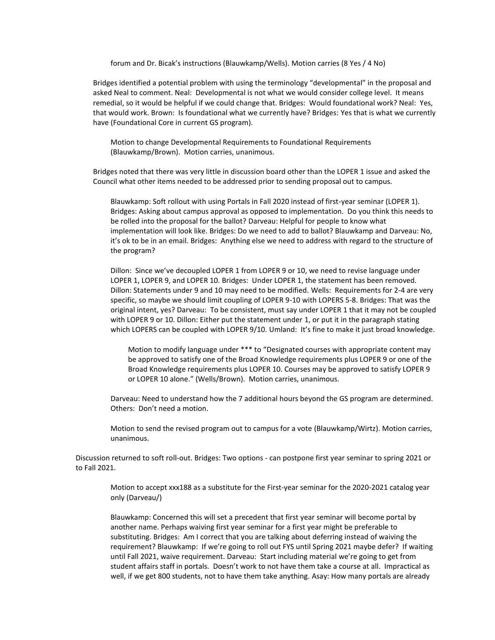forum and Dr. Bicak's instructions (Blauwkamp/Wells). Motion carries (8 Yes / 4 No)

Bridges identified a potential problem with using the terminology "developmental" in the proposal and asked Neal to comment. Neal: Developmental is not what we would consider college level. It means remedial, so it would be helpful if we could change that. Bridges: Would foundational work? Neal: Yes, that would work. Brown: Is foundational what we currently have? Bridges: Yes that is what we currently have (Foundational Core in current GS program).

Motion to change Developmental Requirements to Foundational Requirements (Blauwkamp/Brown). Motion carries, unanimous.

Bridges noted that there was very little in discussion board other than the LOPER 1 issue and asked the Council what other items needed to be addressed prior to sending proposal out to campus.

Blauwkamp: Soft rollout with using Portals in Fall 2020 instead of first-year seminar (LOPER 1). Bridges: Asking about campus approval as opposed to implementation. Do you think this needs to be rolled into the proposal for the ballot? Darveau: Helpful for people to know what implementation will look like. Bridges: Do we need to add to ballot? Blauwkamp and Darveau: No, it's ok to be in an email. Bridges: Anything else we need to address with regard to the structure of the program?

Dillon: Since we've decoupled LOPER 1 from LOPER 9 or 10, we need to revise language under LOPER 1, LOPER 9, and LOPER 10. Bridges: Under LOPER 1, the statement has been removed. Dillon: Statements under 9 and 10 may need to be modified. Wells: Requirements for 2-4 are very specific, so maybe we should limit coupling of LOPER 9-10 with LOPERS 5-8. Bridges: That was the original intent, yes? Darveau: To be consistent, must say under LOPER 1 that it may not be coupled with LOPER 9 or 10. Dillon: Either put the statement under 1, or put it in the paragraph stating which LOPERS can be coupled with LOPER 9/10. Umland: It's fine to make it just broad knowledge.

Motion to modify language under \*\*\* to "Designated courses with appropriate content may be approved to satisfy one of the Broad Knowledge requirements plus LOPER 9 or one of the Broad Knowledge requirements plus LOPER 10. Courses may be approved to satisfy LOPER 9 or LOPER 10 alone." (Wells/Brown). Motion carries, unanimous.

Darveau: Need to understand how the 7 additional hours beyond the GS program are determined. Others: Don't need a motion.

Motion to send the revised program out to campus for a vote (Blauwkamp/Wirtz). Motion carries, unanimous.

Discussion returned to soft roll-out. Bridges: Two options - can postpone first year seminar to spring 2021 or to Fall 2021.

Motion to accept xxx188 as a substitute for the First-year seminar for the 2020-2021 catalog year only (Darveau/)

Blauwkamp: Concerned this will set a precedent that first year seminar will become portal by another name. Perhaps waiving first year seminar for a first year might be preferable to substituting. Bridges: Am I correct that you are talking about deferring instead of waiving the requirement? Blauwkamp: If we're going to roll out FYS until Spring 2021 maybe defer? If waiting until Fall 2021, waive requirement. Darveau: Start including material we're going to get from student affairs staff in portals. Doesn't work to not have them take a course at all. Impractical as well, if we get 800 students, not to have them take anything. Asay: How many portals are already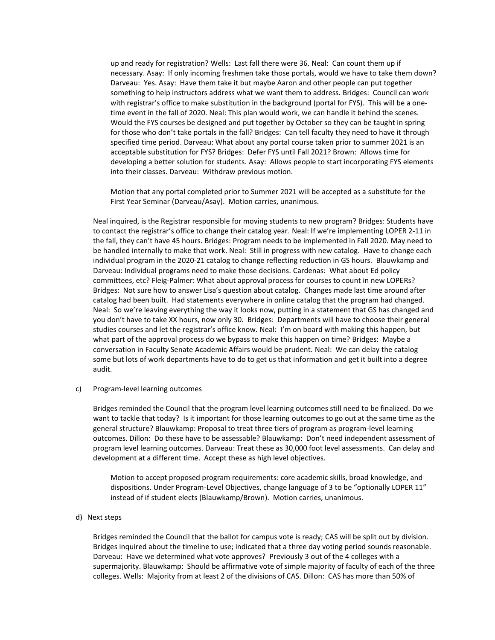up and ready for registration? Wells: Last fall there were 36. Neal: Can count them up if necessary. Asay: If only incoming freshmen take those portals, would we have to take them down? Darveau: Yes. Asay: Have them take it but maybe Aaron and other people can put together something to help instructors address what we want them to address. Bridges: Council can work with registrar's office to make substitution in the background (portal for FYS). This will be a onetime event in the fall of 2020. Neal: This plan would work, we can handle it behind the scenes. Would the FYS courses be designed and put together by October so they can be taught in spring for those who don't take portals in the fall? Bridges: Can tell faculty they need to have it through specified time period. Darveau: What about any portal course taken prior to summer 2021 is an acceptable substitution for FYS? Bridges: Defer FYS until Fall 2021? Brown: Allows time for developing a better solution for students. Asay: Allows people to start incorporating FYS elements into their classes. Darveau: Withdraw previous motion.

Motion that any portal completed prior to Summer 2021 will be accepted as a substitute for the First Year Seminar (Darveau/Asay). Motion carries, unanimous.

Neal inquired, is the Registrar responsible for moving students to new program? Bridges: Students have to contact the registrar's office to change their catalog year. Neal: If we're implementing LOPER 2-11 in the fall, they can't have 45 hours. Bridges: Program needs to be implemented in Fall 2020. May need to be handled internally to make that work. Neal: Still in progress with new catalog. Have to change each individual program in the 2020-21 catalog to change reflecting reduction in GS hours. Blauwkamp and Darveau: Individual programs need to make those decisions. Cardenas: What about Ed policy committees, etc? Fleig-Palmer: What about approval process for courses to count in new LOPERs? Bridges: Not sure how to answer Lisa's question about catalog. Changes made last time around after catalog had been built. Had statements everywhere in online catalog that the program had changed. Neal: So we're leaving everything the way it looks now, putting in a statement that GS has changed and you don't have to take XX hours, now only 30. Bridges: Departments will have to choose their general studies courses and let the registrar's office know. Neal: I'm on board with making this happen, but what part of the approval process do we bypass to make this happen on time? Bridges: Maybe a conversation in Faculty Senate Academic Affairs would be prudent. Neal: We can delay the catalog some but lots of work departments have to do to get us that information and get it built into a degree audit.

#### c) Program-level learning outcomes

Bridges reminded the Council that the program level learning outcomes still need to be finalized. Do we want to tackle that today? Is it important for those learning outcomes to go out at the same time as the general structure? Blauwkamp: Proposal to treat three tiers of program as program-level learning outcomes. Dillon: Do these have to be assessable? Blauwkamp: Don't need independent assessment of program level learning outcomes. Darveau: Treat these as 30,000 foot level assessments. Can delay and development at a different time. Accept these as high level objectives.

Motion to accept proposed program requirements: core academic skills, broad knowledge, and dispositions. Under Program-Level Objectives, change language of 3 to be "optionally LOPER 11" instead of if student elects (Blauwkamp/Brown). Motion carries, unanimous.

#### d) Next steps

Bridges reminded the Council that the ballot for campus vote is ready; CAS will be split out by division. Bridges inquired about the timeline to use; indicated that a three day voting period sounds reasonable. Darveau: Have we determined what vote approves? Previously 3 out of the 4 colleges with a supermajority. Blauwkamp: Should be affirmative vote of simple majority of faculty of each of the three colleges. Wells: Majority from at least 2 of the divisions of CAS. Dillon: CAS has more than 50% of